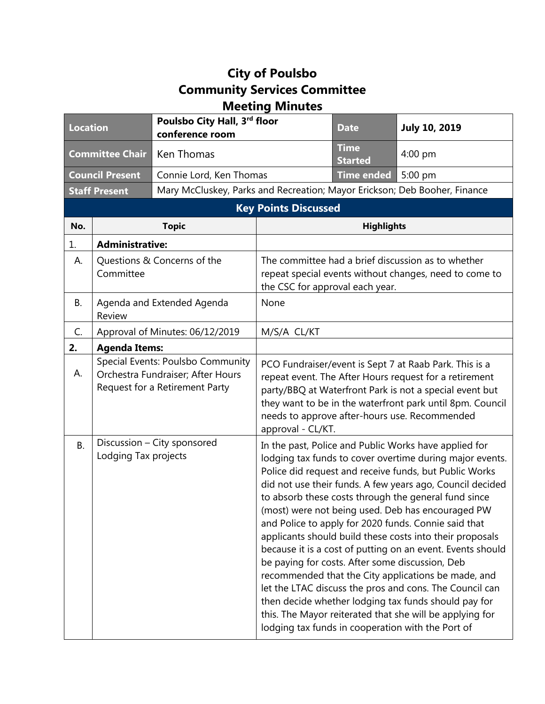## **City of Poulsbo Community Services Committee Meeting Minutes**

| <b>Location</b>             |                                                     | Poulsbo City Hall, 3rd floor<br>conference room                                                          |                                                                                                                                                                                                                                                                                                                                                                                                                                                                                                                                                                                                                                                                                                                                                                                                                                                                                       | <b>Date</b>                                                               | <b>July 10, 2019</b> |  |
|-----------------------------|-----------------------------------------------------|----------------------------------------------------------------------------------------------------------|---------------------------------------------------------------------------------------------------------------------------------------------------------------------------------------------------------------------------------------------------------------------------------------------------------------------------------------------------------------------------------------------------------------------------------------------------------------------------------------------------------------------------------------------------------------------------------------------------------------------------------------------------------------------------------------------------------------------------------------------------------------------------------------------------------------------------------------------------------------------------------------|---------------------------------------------------------------------------|----------------------|--|
| <b>Committee Chair</b>      |                                                     | Ken Thomas                                                                                               |                                                                                                                                                                                                                                                                                                                                                                                                                                                                                                                                                                                                                                                                                                                                                                                                                                                                                       | <b>Time</b><br><b>Started</b>                                             | $4:00$ pm            |  |
| <b>Council Present</b>      |                                                     | Connie Lord, Ken Thomas                                                                                  |                                                                                                                                                                                                                                                                                                                                                                                                                                                                                                                                                                                                                                                                                                                                                                                                                                                                                       | <b>Time ended</b>                                                         | 5:00 pm              |  |
| <b>Staff Present</b>        |                                                     |                                                                                                          |                                                                                                                                                                                                                                                                                                                                                                                                                                                                                                                                                                                                                                                                                                                                                                                                                                                                                       | Mary McCluskey, Parks and Recreation; Mayor Erickson; Deb Booher, Finance |                      |  |
| <b>Key Points Discussed</b> |                                                     |                                                                                                          |                                                                                                                                                                                                                                                                                                                                                                                                                                                                                                                                                                                                                                                                                                                                                                                                                                                                                       |                                                                           |                      |  |
| No.                         | <b>Topic</b>                                        |                                                                                                          | <b>Highlights</b>                                                                                                                                                                                                                                                                                                                                                                                                                                                                                                                                                                                                                                                                                                                                                                                                                                                                     |                                                                           |                      |  |
| 1.                          | <b>Administrative:</b>                              |                                                                                                          |                                                                                                                                                                                                                                                                                                                                                                                                                                                                                                                                                                                                                                                                                                                                                                                                                                                                                       |                                                                           |                      |  |
| А.                          | Questions & Concerns of the<br>Committee            |                                                                                                          | The committee had a brief discussion as to whether<br>repeat special events without changes, need to come to<br>the CSC for approval each year.                                                                                                                                                                                                                                                                                                                                                                                                                                                                                                                                                                                                                                                                                                                                       |                                                                           |                      |  |
| <b>B.</b>                   | Agenda and Extended Agenda<br>Review                |                                                                                                          | None                                                                                                                                                                                                                                                                                                                                                                                                                                                                                                                                                                                                                                                                                                                                                                                                                                                                                  |                                                                           |                      |  |
| C.                          | Approval of Minutes: 06/12/2019                     |                                                                                                          | M/S/A CL/KT                                                                                                                                                                                                                                                                                                                                                                                                                                                                                                                                                                                                                                                                                                                                                                                                                                                                           |                                                                           |                      |  |
| 2.                          | <b>Agenda Items:</b>                                |                                                                                                          |                                                                                                                                                                                                                                                                                                                                                                                                                                                                                                                                                                                                                                                                                                                                                                                                                                                                                       |                                                                           |                      |  |
| А.                          |                                                     | Special Events: Poulsbo Community<br>Orchestra Fundraiser; After Hours<br>Request for a Retirement Party | PCO Fundraiser/event is Sept 7 at Raab Park. This is a<br>repeat event. The After Hours request for a retirement<br>party/BBQ at Waterfront Park is not a special event but<br>they want to be in the waterfront park until 8pm. Council<br>needs to approve after-hours use. Recommended<br>approval - CL/KT.                                                                                                                                                                                                                                                                                                                                                                                                                                                                                                                                                                        |                                                                           |                      |  |
| <b>B.</b>                   | Discussion - City sponsored<br>Lodging Tax projects |                                                                                                          | In the past, Police and Public Works have applied for<br>lodging tax funds to cover overtime during major events.<br>Police did request and receive funds, but Public Works<br>did not use their funds. A few years ago, Council decided<br>to absorb these costs through the general fund since<br>(most) were not being used. Deb has encouraged PW<br>and Police to apply for 2020 funds. Connie said that<br>applicants should build these costs into their proposals<br>because it is a cost of putting on an event. Events should<br>be paying for costs. After some discussion, Deb<br>recommended that the City applications be made, and<br>let the LTAC discuss the pros and cons. The Council can<br>then decide whether lodging tax funds should pay for<br>this. The Mayor reiterated that she will be applying for<br>lodging tax funds in cooperation with the Port of |                                                                           |                      |  |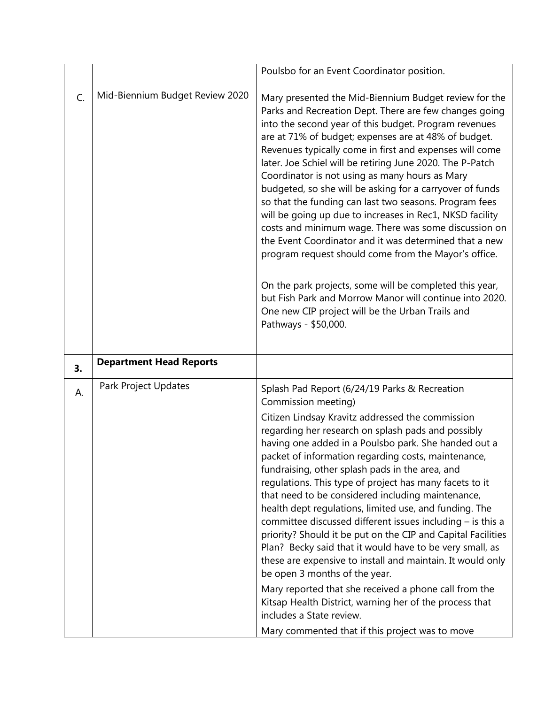|    |                                 | Poulsbo for an Event Coordinator position.                                                                                                                                                                                                                                                                                                                                                                                                                                                                                                                                                                                                                                                                                                                                                                                                                                                                                                                               |
|----|---------------------------------|--------------------------------------------------------------------------------------------------------------------------------------------------------------------------------------------------------------------------------------------------------------------------------------------------------------------------------------------------------------------------------------------------------------------------------------------------------------------------------------------------------------------------------------------------------------------------------------------------------------------------------------------------------------------------------------------------------------------------------------------------------------------------------------------------------------------------------------------------------------------------------------------------------------------------------------------------------------------------|
| C. | Mid-Biennium Budget Review 2020 | Mary presented the Mid-Biennium Budget review for the<br>Parks and Recreation Dept. There are few changes going<br>into the second year of this budget. Program revenues<br>are at 71% of budget; expenses are at 48% of budget.<br>Revenues typically come in first and expenses will come<br>later. Joe Schiel will be retiring June 2020. The P-Patch<br>Coordinator is not using as many hours as Mary<br>budgeted, so she will be asking for a carryover of funds<br>so that the funding can last two seasons. Program fees<br>will be going up due to increases in Rec1, NKSD facility<br>costs and minimum wage. There was some discussion on<br>the Event Coordinator and it was determined that a new<br>program request should come from the Mayor's office.<br>On the park projects, some will be completed this year,<br>but Fish Park and Morrow Manor will continue into 2020.<br>One new CIP project will be the Urban Trails and<br>Pathways - \$50,000. |
|    |                                 |                                                                                                                                                                                                                                                                                                                                                                                                                                                                                                                                                                                                                                                                                                                                                                                                                                                                                                                                                                          |
| 3. | <b>Department Head Reports</b>  |                                                                                                                                                                                                                                                                                                                                                                                                                                                                                                                                                                                                                                                                                                                                                                                                                                                                                                                                                                          |
| А. | Park Project Updates            | Splash Pad Report (6/24/19 Parks & Recreation<br>Commission meeting)                                                                                                                                                                                                                                                                                                                                                                                                                                                                                                                                                                                                                                                                                                                                                                                                                                                                                                     |
|    |                                 | Citizen Lindsay Kravitz addressed the commission<br>regarding her research on splash pads and possibly<br>having one added in a Poulsbo park. She handed out a<br>packet of information regarding costs, maintenance,<br>fundraising, other splash pads in the area, and<br>regulations. This type of project has many facets to it<br>that need to be considered including maintenance,<br>health dept regulations, limited use, and funding. The<br>committee discussed different issues including $-$ is this a<br>priority? Should it be put on the CIP and Capital Facilities<br>Plan? Becky said that it would have to be very small, as<br>these are expensive to install and maintain. It would only<br>be open 3 months of the year.<br>Mary reported that she received a phone call from the<br>Kitsap Health District, warning her of the process that                                                                                                        |